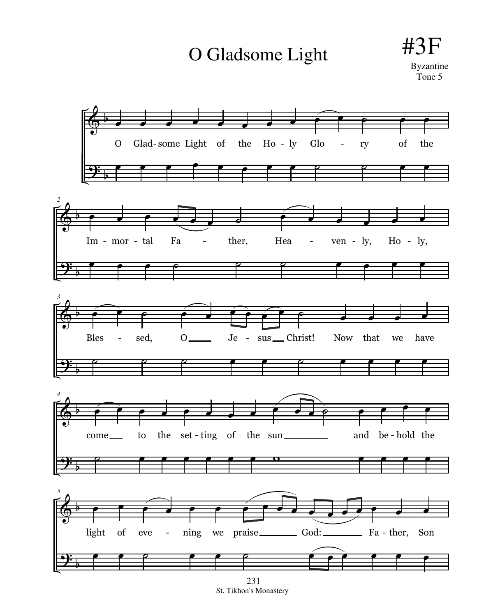O Gladsome Light



St. Tikhon's Monastery